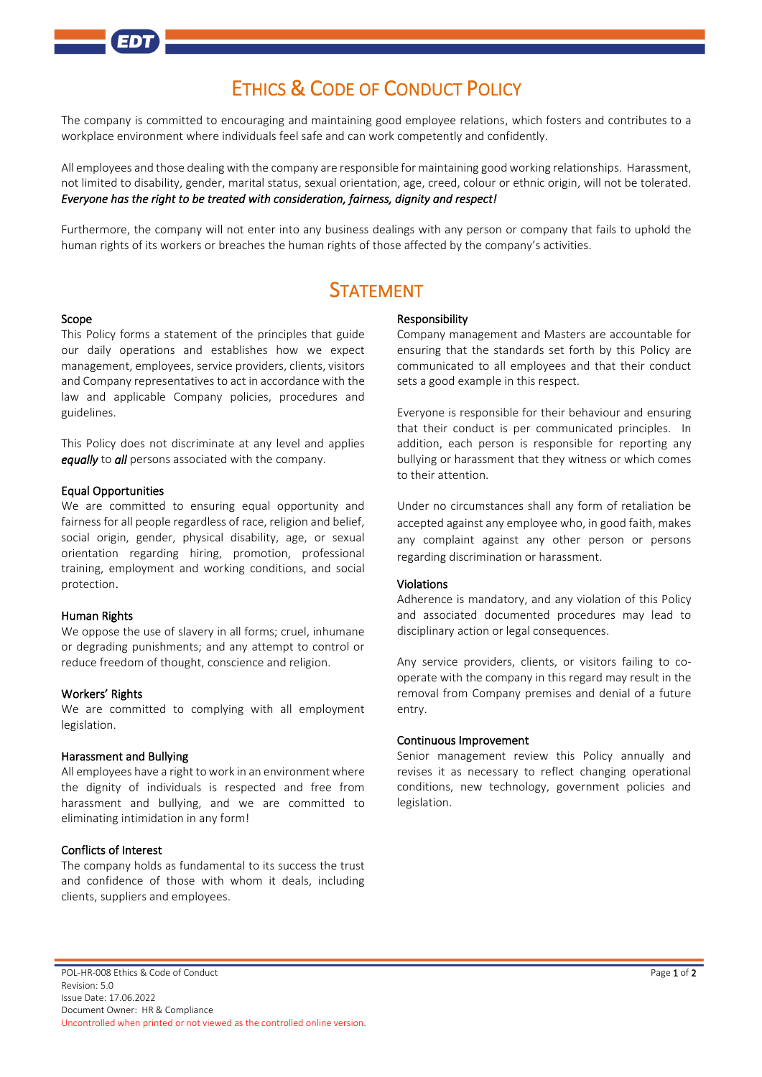# ETHICS & CODE OF CONDUCT POLICY

The company is committed to encouraging and maintaining good employee relations, which fosters and contributes to a workplace environment where individuals feel safe and can work competently and confidently.

All employees and those dealing with the company are responsible for maintaining good working relationships. Harassment, not limited to disability, gender, marital status, sexual orientation, age, creed, colour or ethnic origin, will not be tolerated. *Everyone has the right to be treated with consideration, fairness, dignity and respect!* 

Furthermore, the company will not enter into any business dealings with any person or company that fails to uphold the human rights of its workers or breaches the human rights of those affected by the company's activities.

## **STATEMENT**

#### Scope

This Policy forms a statement of the principles that guide our daily operations and establishes how we expect management, employees, service providers, clients, visitors and Company representatives to act in accordance with the law and applicable Company policies, procedures and guidelines.

This Policy does not discriminate at any level and applies *equally* to *all* persons associated with the company.

#### Equal Opportunities

We are committed to ensuring equal opportunity and fairness for all people regardless of race, religion and belief, social origin, gender, physical disability, age, or sexual orientation regarding hiring, promotion, professional training, employment and working conditions, and social protection.

#### Human Rights

We oppose the use of slavery in all forms; cruel, inhumane or degrading punishments; and any attempt to control or reduce freedom of thought, conscience and religion.

#### Workers' Rights

We are committed to complying with all employment legislation.

#### Harassment and Bullying

All employees have a right to work in an environment where the dignity of individuals is respected and free from harassment and bullying, and we are committed to eliminating intimidation in any form!

#### Conflicts of Interest

The company holds as fundamental to its success the trust and confidence of those with whom it deals, including clients, suppliers and employees.

#### Responsibility

Company management and Masters are accountable for ensuring that the standards set forth by this Policy are communicated to all employees and that their conduct sets a good example in this respect.

Everyone is responsible for their behaviour and ensuring that their conduct is per communicated principles. In addition, each person is responsible for reporting any bullying or harassment that they witness or which comes to their attention.

Under no circumstances shall any form of retaliation be accepted against any employee who, in good faith, makes any complaint against any other person or persons regarding discrimination or harassment.

#### Violations

Adherence is mandatory, and any violation of this Policy and associated documented procedures may lead to disciplinary action or legal consequences.

Any service providers, clients, or visitors failing to cooperate with the company in this regard may result in the removal from Company premises and denial of a future entry.

#### Continuous Improvement

Senior management review this Policy annually and revises it as necessary to reflect changing operational conditions, new technology, government policies and legislation.